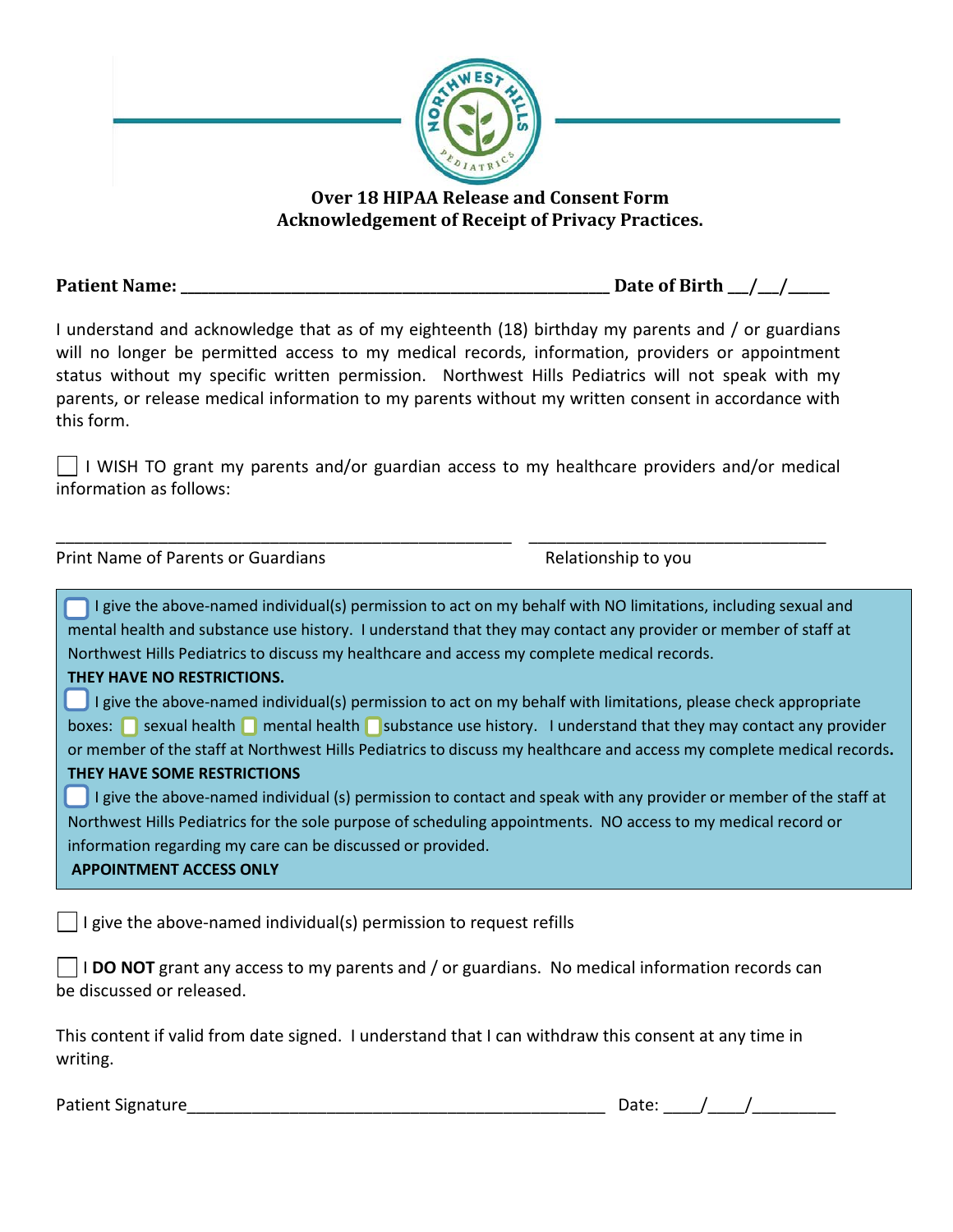

**Over 18 HIPAA Release and Consent Form Acknowledgement of Receipt of Privacy Practices.**

**Patient Name: \_\_\_\_\_\_\_\_\_\_\_\_\_\_\_\_\_\_\_\_\_\_\_\_\_\_\_\_\_\_\_\_\_\_\_\_\_\_\_\_\_\_\_\_\_\_\_\_\_\_\_\_\_\_\_\_\_\_\_\_\_\_ Date of Birth \_\_\_/\_\_\_/\_\_\_\_\_\_**

I understand and acknowledge that as of my eighteenth (18) birthday my parents and / or guardians will no longer be permitted access to my medical records, information, providers or appointment status without my specific written permission. Northwest Hills Pediatrics will not speak with my parents, or release medical information to my parents without my written consent in accordance with this form.

 $\vert \ \vert$  I WISH TO grant my parents and/or guardian access to my healthcare providers and/or medical information as follows:

\_\_\_\_\_\_\_\_\_\_\_\_\_\_\_\_\_\_\_\_\_\_\_\_\_\_\_\_\_\_\_\_\_\_\_\_\_\_\_\_\_\_\_\_\_\_\_\_\_ \_\_\_\_\_\_\_\_\_\_\_\_\_\_\_\_\_\_\_\_\_\_\_\_\_\_\_\_\_\_\_\_

Print Name of Parents or Guardians **Relationship to you** 

I give the above-named individual(s) permission to act on my behalf with NO limitations, including sexual and mental health and substance use history. I understand that they may contact any provider or member of staff at Northwest Hills Pediatrics to discuss my healthcare and access my complete medical records.

## **THEY HAVE NO RESTRICTIONS.**

 I give the above-named individual(s) permission to act on my behalf with limitations, please check appropriate boxes: sexual health mental health substance use history. I understand that they may contact any provider or member of the staff at Northwest Hills Pediatrics to discuss my healthcare and access my complete medical records**. THEY HAVE SOME RESTRICTIONS**

I give the above-named individual (s) permission to contact and speak with any provider or member of the staff at Northwest Hills Pediatrics for the sole purpose of scheduling appointments. NO access to my medical record or information regarding my care can be discussed or provided.

**APPOINTMENT ACCESS ONLY**

 $\Box$  I give the above-named individual(s) permission to request refills

I **DO NOT** grant any access to my parents and / or guardians. No medical information records can be discussed or released.

This content if valid from date signed. I understand that I can withdraw this consent at any time in writing.

Patient Signature The Contract of the Contract of the Contract of the Contract of the Contract of the Contract of the Contract of the Contract of the Contract of the Contract of the Contract of the Contract of the Contract